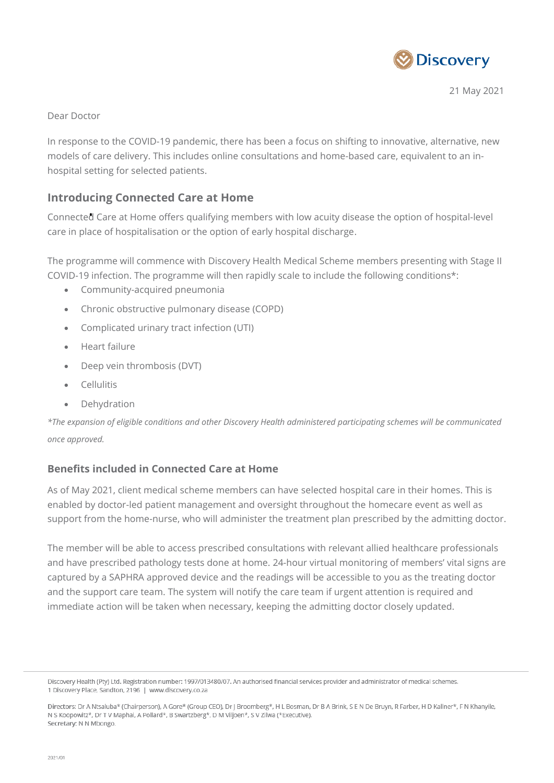

21 May 2021

### Dear Doctor

In response to the COVID-19 pandemic, there has been a focus on shifting to innovative, alternative, new models of care delivery. This includes online consultations and home-based care, equivalent to an inhospital setting for selected patients.

# **Introducing Connected Care at Home**

Connected Care at Home offers qualifying members with low acuity disease the option of hospital-level care in place of hospitalisation or the option of early hospital discharge.

The programme will commence with Discovery Health Medical Scheme members presenting with Stage II COVID-19 infection. The programme will then rapidly scale to include the following conditions\*:

- Community-acquired pneumonia
- Chronic obstructive pulmonary disease (COPD)
- Complicated urinary tract infection (UTI)
- Heart failure
- Deep vein thrombosis (DVT)
- **•** Cellulitis
- Dehydration

*\*The expansion of eligible conditions and other Discovery Health administered participating schemes will be communicated once approved.*

## **Benefits included in Connected Care at Home**

As of May 2021, client medical scheme members can have selected hospital care in their homes. This is enabled by doctor-led patient management and oversight throughout the homecare event as well as support from the home-nurse, who will administer the treatment plan prescribed by the admitting doctor.

The member will be able to access prescribed consultations with relevant allied healthcare professionals and have prescribed pathology tests done at home. 24-hour virtual monitoring of members' vital signs are captured by a SAPHRA approved device and the readings will be accessible to you as the treating doctor and the support care team. The system will notify the care team if urgent attention is required and immediate action will be taken when necessary, keeping the admitting doctor closely updated.

Discovery Health (Pty) Ltd. Registration number: 1997/013480/07. An authorised financial services provider and administrator of medical schemes. 1 Discovery Place, Sandton, 2196 | www.discovery.co.za

Directors: Dr A Ntsaluba\* (Chairperson), A Gore\* (Group CEO), Dr J Broomberg\*, H L Bosman, Dr B A Brink, S E N De Bruyn, R Farber, H D Kallner\*, F N Khanyile, N S Koopowitz\*, Dr T V Maphai, A Pollard\*, B Swartzberg\*, D M Viljoen\*, S V Zilwa (\*Executive). Secretary: N N Mbongo.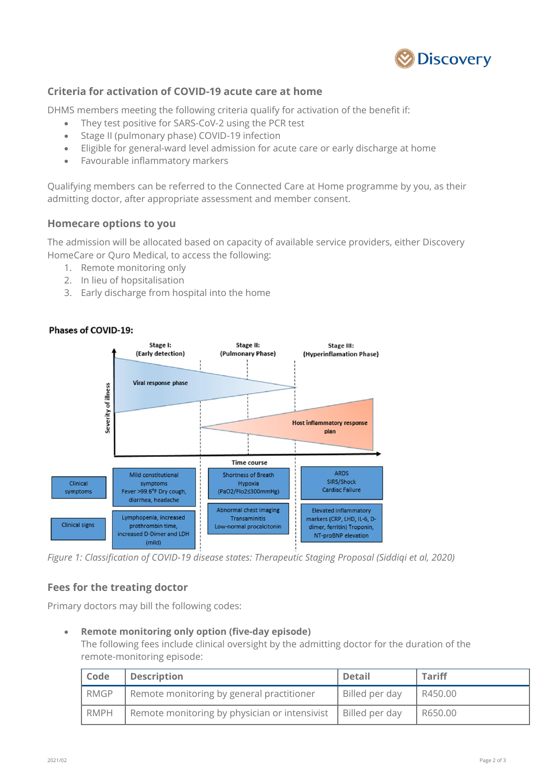

### **Criteria for activation of COVID-19 acute care at home**

DHMS members meeting the following criteria qualify for activation of the benefit if:

- They test positive for SARS-CoV-2 using the PCR test
- Stage II (pulmonary phase) COVID-19 infection
- Eligible for general-ward level admission for acute care or early discharge at home
- Favourable inflammatory markers

Qualifying members can be referred to the Connected Care at Home programme by you, as their admitting doctor, after appropriate assessment and member consent.

### **Homecare options to you**

The admission will be allocated based on capacity of available service providers, either Discovery HomeCare or Quro Medical, to access the following:

- 1. Remote monitoring only
- 2. In lieu of hopsitalisation
- 3. Early discharge from hospital into the home



### Phases of COVID-19:

*Figure 1: Classification of COVID-19 disease states: Therapeutic Staging Proposal (Siddiqi et al, 2020)*

## **Fees for the treating doctor**

Primary doctors may bill the following codes:

#### **Remote monitoring only option (five-day episode)**

The following fees include clinical oversight by the admitting doctor for the duration of the remote-monitoring episode:

| Code        | <b>Description</b>                            | <b>Detail</b>  | <b>Tariff</b> |
|-------------|-----------------------------------------------|----------------|---------------|
| <b>RMGP</b> | Remote monitoring by general practitioner     | Billed per day | R450.00       |
| RMPH        | Remote monitoring by physician or intensivist | Billed per day | l R650.00     |